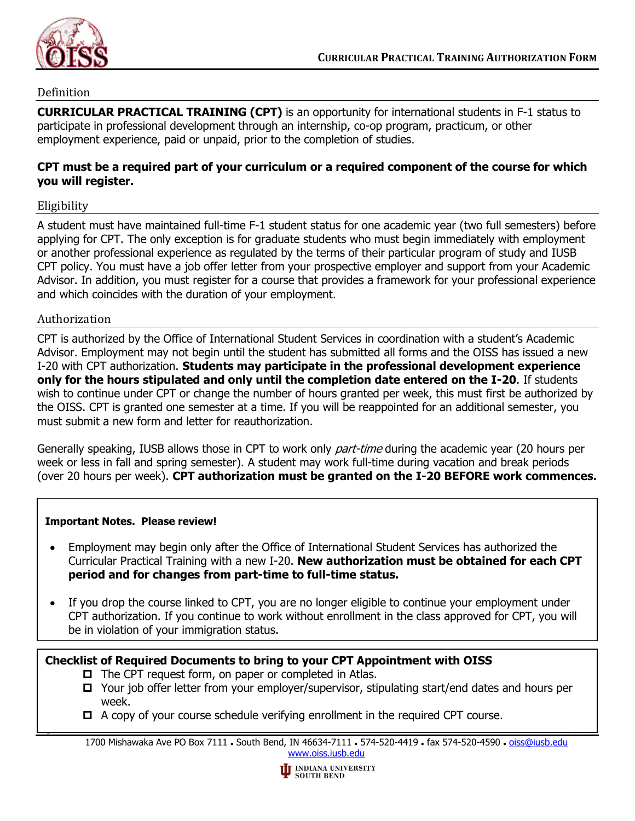

# Definition

**CURRICULAR PRACTICAL TRAINING (CPT)** is an opportunity for international students in F-1 status to participate in professional development through an internship, co-op program, practicum, or other employment experience, paid or unpaid, prior to the completion of studies.

# **CPT must be a required part of your curriculum or a required component of the course for which you will register.**

### Eligibility

A student must have maintained full-time F-1 student status for one academic year (two full semesters) before applying for CPT. The only exception is for graduate students who must begin immediately with employment or another professional experience as regulated by the terms of their particular program of study and IUSB CPT policy. You must have a job offer letter from your prospective employer and support from your Academic Advisor. In addition, you must register for a course that provides a framework for your professional experience and which coincides with the duration of your employment.

### Authorization

CPT is authorized by the Office of International Student Services in coordination with a student's Academic Advisor. Employment may not begin until the student has submitted all forms and the OISS has issued a new I-20 with CPT authorization. **Students may participate in the professional development experience only for the hours stipulated and only until the completion date entered on the I-20**. If students wish to continue under CPT or change the number of hours granted per week, this must first be authorized by the OISS. CPT is granted one semester at a time. If you will be reappointed for an additional semester, you must submit a new form and letter for reauthorization.

Generally speaking, IUSB allows those in CPT to work only *part-time* during the academic year (20 hours per week or less in fall and spring semester). A student may work full-time during vacation and break periods (over 20 hours per week). **CPT authorization must be granted on the I-20 BEFORE work commences.**

### **Important Notes. Please review!**

- Employment may begin only after the Office of International Student Services has authorized the Curricular Practical Training with a new I-20. **New authorization must be obtained for each CPT period and for changes from part-time to full-time status.**
- If you drop the course linked to CPT, you are no longer eligible to continue your employment under CPT authorization. If you continue to work without enrollment in the class approved for CPT, you will be in violation of your immigration status.

# **Checklist of Required Documents to bring to your CPT Appointment with OISS**

- $\Box$  The CPT request form, on paper or completed in Atlas.
- $\Box$  Your job offer letter from your employer/supervisor, stipulating start/end dates and hours per week.
- A copy of your course schedule verifying enrollment in the required CPT course.

1700 Mishawaka Ave PO Box 7111 . South Bend, IN 46634-7111 . 574-520-4419 . fax 574-520-4590 . [oiss@iusb.edu](mailto:oiss@iusb.edu) [www.oiss.iusb.edu](file://///sb-inft-fs1/esrv/INTP/International%20Student%20Services/Forms%20&%20Form%20Letters/Fill-in%20Forms/www.oiss.iusb.edu)

Page 1 of 2 Rev 12/17/21